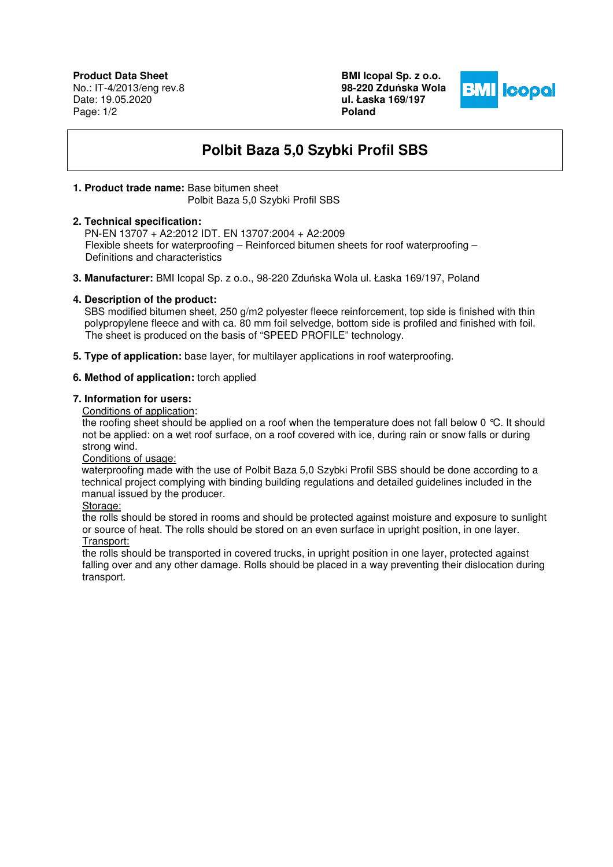**Product Data Sheet** No.: IT-4/2013/eng rev.8 Date: 19.05.2020 Page: 1/2

**BMI Icopal Sp. z o.o. 98-220 Zdu**ń**ska Wola ul. Łaska 169/197 Poland** 



# **Polbit Baza 5,0 Szybki Profil SBS**

### **1. Product trade name:** Base bitumen sheet

Polbit Baza 5,0 Szybki Profil SBS

#### **2. Technical specification:**

 PN-EN 13707 + A2:2012 IDT. EN 13707:2004 + A2:2009 Flexible sheets for waterproofing – Reinforced bitumen sheets for roof waterproofing – Definitions and characteristics

**3. Manufacturer:** BMI Icopal Sp. z o.o., 98-220 Zduńska Wola ul. Łaska 169/197, Poland

### **4. Description of the product:**

SBS modified bitumen sheet, 250 g/m2 polyester fleece reinforcement, top side is finished with thin polypropylene fleece and with ca. 80 mm foil selvedge, bottom side is profiled and finished with foil. The sheet is produced on the basis of "SPEED PROFILE" technology.

**5. Type of application:** base layer, for multilayer applications in roof waterproofing.

### **6. Method of application:** torch applied

## **7. Information for users:**

Conditions of application:

the roofing sheet should be applied on a roof when the temperature does not fall below 0 °C. It should not be applied: on a wet roof surface, on a roof covered with ice, during rain or snow falls or during strong wind.

Conditions of usage:

 waterproofing made with the use of Polbit Baza 5,0 Szybki Profil SBS should be done according to a technical project complying with binding building regulations and detailed guidelines included in the manual issued by the producer.

Storage:

the rolls should be stored in rooms and should be protected against moisture and exposure to sunlight or source of heat. The rolls should be stored on an even surface in upright position, in one layer. Transport:

the rolls should be transported in covered trucks, in upright position in one layer, protected against falling over and any other damage. Rolls should be placed in a way preventing their dislocation during transport.